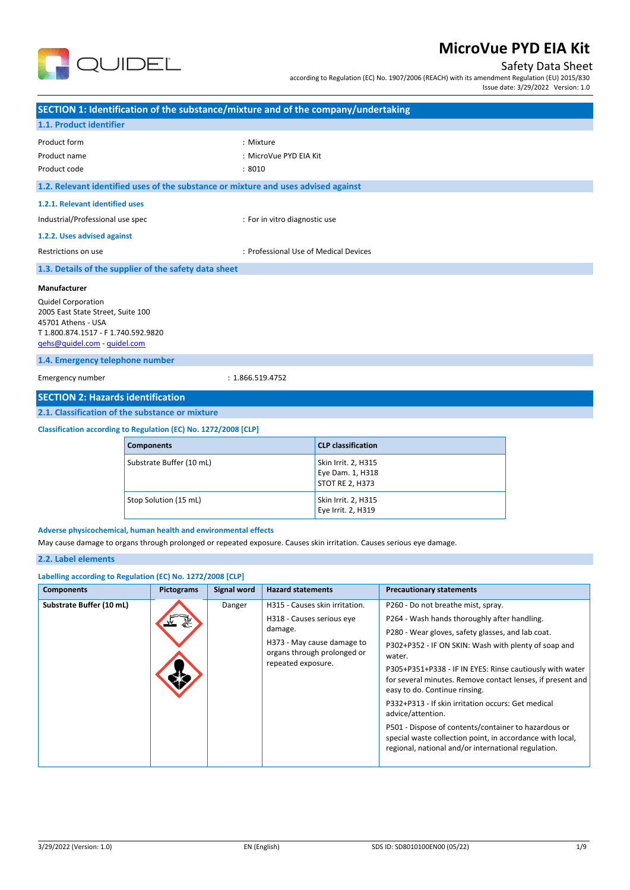

## Safety Data Sheet

according to Regulation (EC) No. 1907/2006 (REACH) with its amendment Regulation (EU) 2015/830 Issue date: 3/29/2022 Version: 1.0

| SECTION 1: Identification of the substance/mixture and of the company/undertaking                                                                                                              |                       |                          |                    |                               |                                                                   |                                 |  |
|------------------------------------------------------------------------------------------------------------------------------------------------------------------------------------------------|-----------------------|--------------------------|--------------------|-------------------------------|-------------------------------------------------------------------|---------------------------------|--|
| 1.1. Product identifier                                                                                                                                                                        |                       |                          |                    |                               |                                                                   |                                 |  |
| Product form<br>Product name<br>Product code                                                                                                                                                   |                       |                          | : Mixture<br>:8010 | : MicroVue PYD EIA Kit        |                                                                   |                                 |  |
| 1.2. Relevant identified uses of the substance or mixture and uses advised against                                                                                                             |                       |                          |                    |                               |                                                                   |                                 |  |
| 1.2.1. Relevant identified uses                                                                                                                                                                |                       |                          |                    |                               |                                                                   |                                 |  |
| Industrial/Professional use spec                                                                                                                                                               |                       |                          |                    | : For in vitro diagnostic use |                                                                   |                                 |  |
| 1.2.2. Uses advised against                                                                                                                                                                    |                       |                          |                    |                               |                                                                   |                                 |  |
| Restrictions on use                                                                                                                                                                            |                       |                          |                    |                               | : Professional Use of Medical Devices                             |                                 |  |
| 1.3. Details of the supplier of the safety data sheet                                                                                                                                          |                       |                          |                    |                               |                                                                   |                                 |  |
| <b>Quidel Corporation</b><br>2005 East State Street, Suite 100<br>45701 Athens - USA<br>T 1.800.874.1517 - F 1.740.592.9820<br>qehs@quidel.com - quidel.com<br>1.4. Emergency telephone number |                       |                          |                    |                               |                                                                   |                                 |  |
| Emergency number                                                                                                                                                                               | : 1.866.519.4752      |                          |                    |                               |                                                                   |                                 |  |
| <b>SECTION 2: Hazards identification</b>                                                                                                                                                       |                       |                          |                    |                               |                                                                   |                                 |  |
| 2.1. Classification of the substance or mixture                                                                                                                                                |                       |                          |                    |                               |                                                                   |                                 |  |
| Classification according to Regulation (EC) No. 1272/2008 [CLP]                                                                                                                                |                       |                          |                    |                               |                                                                   |                                 |  |
|                                                                                                                                                                                                | <b>Components</b>     |                          |                    |                               | <b>CLP</b> classification                                         |                                 |  |
|                                                                                                                                                                                                |                       | Substrate Buffer (10 mL) |                    |                               | Skin Irrit. 2, H315<br>Eye Dam. 1, H318<br><b>STOT RE 2, H373</b> |                                 |  |
|                                                                                                                                                                                                | Stop Solution (15 mL) |                          |                    |                               | Skin Irrit. 2, H315<br>Eye Irrit. 2, H319                         |                                 |  |
| Adverse physicochemical, human health and environmental effects<br>May cause damage to organs through prolonged or repeated exposure. Causes skin irritation. Causes serious eye damage.       |                       |                          |                    |                               |                                                                   |                                 |  |
| 2.2. Label elements                                                                                                                                                                            |                       |                          |                    |                               |                                                                   |                                 |  |
| Labelling according to Regulation (EC) No. 1272/2008 [CLP]                                                                                                                                     |                       |                          |                    |                               |                                                                   |                                 |  |
| <b>Components</b>                                                                                                                                                                              |                       | <b>Pictograms</b>        | Signal word        | <b>Hazard statements</b>      |                                                                   | <b>Precautionary statements</b> |  |

| <b>Components</b>        | <b>Pictograms</b>                                | Signal word                 | <b>Hazard statements</b>                                       | Precautionary statements                                                                                                                                                 |
|--------------------------|--------------------------------------------------|-----------------------------|----------------------------------------------------------------|--------------------------------------------------------------------------------------------------------------------------------------------------------------------------|
| Substrate Buffer (10 mL) |                                                  | Danger                      | H315 - Causes skin irritation.                                 | P260 - Do not breathe mist, spray.                                                                                                                                       |
|                          |                                                  |                             | H318 - Causes serious eye                                      | P264 - Wash hands thoroughly after handling.                                                                                                                             |
|                          |                                                  |                             | damage.                                                        | P280 - Wear gloves, safety glasses, and lab coat.                                                                                                                        |
|                          | H373 - May cause damage to<br>repeated exposure. | organs through prolonged or | P302+P352 - IF ON SKIN: Wash with plenty of soap and<br>water. |                                                                                                                                                                          |
|                          |                                                  |                             |                                                                | P305+P351+P338 - IF IN EYES: Rinse cautiously with water<br>for several minutes. Remove contact lenses, if present and<br>easy to do. Continue rinsing.                  |
|                          |                                                  |                             |                                                                | P332+P313 - If skin irritation occurs: Get medical<br>advice/attention.                                                                                                  |
|                          |                                                  |                             |                                                                | P501 - Dispose of contents/container to hazardous or<br>special waste collection point, in accordance with local,<br>regional, national and/or international regulation. |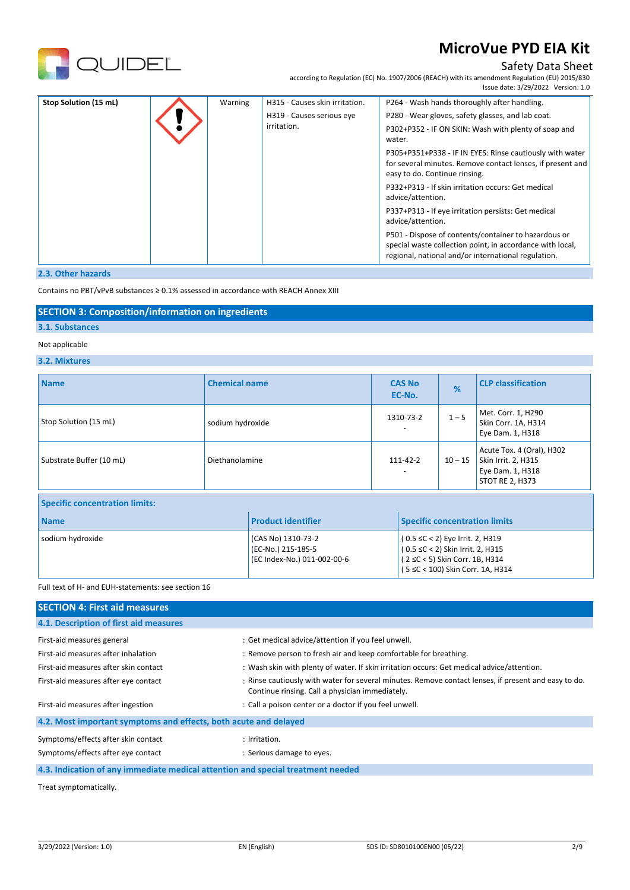

## Safety Data Sheet

according to Regulation (EC) No. 1907/2006 (REACH) with its amendment Regulation (EU) 2015/830 Issue date: 3/29/2022 Version: 1.0

| Stop Solution (15 mL) |  | Warning                                  | H315 - Causes skin irritation.                                 | P264 - Wash hands thoroughly after handling.                                                                                                                             |
|-----------------------|--|------------------------------------------|----------------------------------------------------------------|--------------------------------------------------------------------------------------------------------------------------------------------------------------------------|
|                       |  | H319 - Causes serious eye<br>irritation. | P280 - Wear gloves, safety glasses, and lab coat.              |                                                                                                                                                                          |
|                       |  |                                          | P302+P352 - IF ON SKIN: Wash with plenty of soap and<br>water. |                                                                                                                                                                          |
|                       |  |                                          |                                                                | P305+P351+P338 - IF IN EYES: Rinse cautiously with water<br>for several minutes. Remove contact lenses, if present and<br>easy to do. Continue rinsing.                  |
|                       |  |                                          |                                                                | P332+P313 - If skin irritation occurs: Get medical<br>advice/attention.                                                                                                  |
|                       |  |                                          |                                                                | P337+P313 - If eye irritation persists: Get medical<br>advice/attention.                                                                                                 |
|                       |  |                                          |                                                                | P501 - Dispose of contents/container to hazardous or<br>special waste collection point, in accordance with local,<br>regional, national and/or international regulation. |

### **2.3. Other hazards**

Contains no PBT/vPvB substances ≥ 0.1% assessed in accordance with REACH Annex XIII

## **SECTION 3: Composition/information on ingredients**

## **3.1. Substances**

## Not applicable

## **3.2. Mixtures**

| <b>Name</b>                           | <b>Chemical name</b> |                                                                         |                                                                                                                                           | <b>CAS No</b><br>EC-No. | %                                    | <b>CLP classification</b>                                                                      |
|---------------------------------------|----------------------|-------------------------------------------------------------------------|-------------------------------------------------------------------------------------------------------------------------------------------|-------------------------|--------------------------------------|------------------------------------------------------------------------------------------------|
| Stop Solution (15 mL)                 | sodium hydroxide     |                                                                         |                                                                                                                                           | 1310-73-2               | $1 - 5$                              | Met. Corr. 1, H290<br>Skin Corr. 1A, H314<br>Eye Dam. 1, H318                                  |
| Substrate Buffer (10 mL)              | Diethanolamine       |                                                                         | 111-42-2                                                                                                                                  |                         | $10 - 15$                            | Acute Tox. 4 (Oral), H302<br>Skin Irrit. 2, H315<br>Eye Dam. 1, H318<br><b>STOT RE 2, H373</b> |
| <b>Specific concentration limits:</b> |                      |                                                                         |                                                                                                                                           |                         |                                      |                                                                                                |
| <b>Name</b>                           |                      | <b>Product identifier</b>                                               |                                                                                                                                           |                         | <b>Specific concentration limits</b> |                                                                                                |
| sodium hydroxide                      |                      | (CAS No) 1310-73-2<br>(EC-No.) 215-185-5<br>(EC Index-No.) 011-002-00-6 | (0.5 ≤C < 2) Eye Irrit. 2, H319<br>(0.5 ≤C < 2) Skin Irrit. 2, H315<br>(2 ≤C < 5) Skin Corr. 1B, H314<br>(5 ≤C < 100) Skin Corr. 1A, H314 |                         |                                      |                                                                                                |

### Full text of H- and EUH-statements: see section 16

| <b>SECTION 4: First aid measures</b>                                            |                                                                                                                                                         |
|---------------------------------------------------------------------------------|---------------------------------------------------------------------------------------------------------------------------------------------------------|
| 4.1. Description of first aid measures                                          |                                                                                                                                                         |
| First-aid measures general                                                      | : Get medical advice/attention if you feel unwell.                                                                                                      |
| First-aid measures after inhalation                                             | : Remove person to fresh air and keep comfortable for breathing.                                                                                        |
| First-aid measures after skin contact                                           | : Wash skin with plenty of water. If skin irritation occurs: Get medical advice/attention.                                                              |
| First-aid measures after eye contact                                            | : Rinse cautiously with water for several minutes. Remove contact lenses, if present and easy to do.<br>Continue rinsing. Call a physician immediately. |
| First-aid measures after ingestion                                              | : Call a poison center or a doctor if you feel unwell.                                                                                                  |
| 4.2. Most important symptoms and effects, both acute and delayed                |                                                                                                                                                         |
| Symptoms/effects after skin contact                                             | : Irritation.                                                                                                                                           |
| Symptoms/effects after eye contact                                              | : Serious damage to eyes.                                                                                                                               |
| 4.3. Indication of any immediate medical attention and special treatment needed |                                                                                                                                                         |

Treat symptomatically.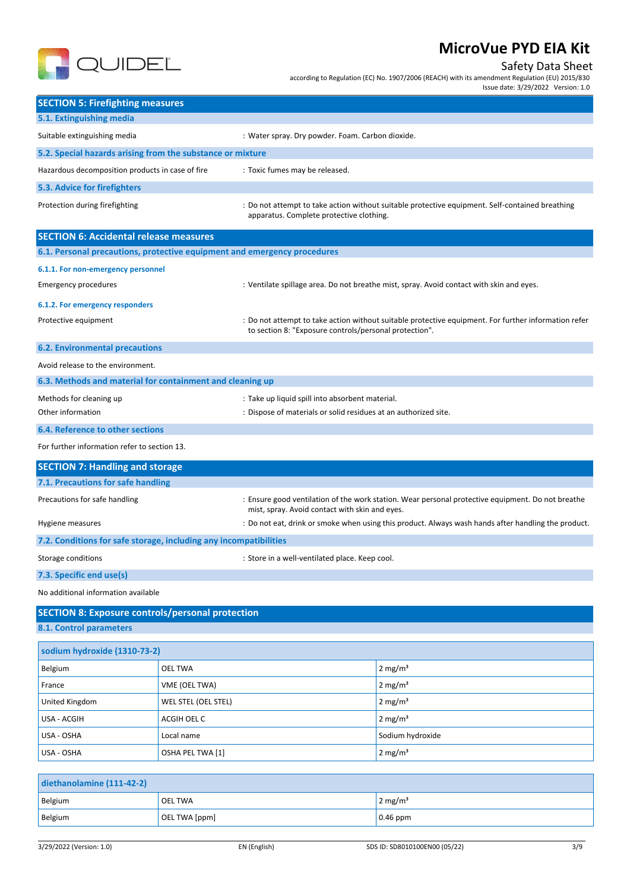

## Safety Data Sheet

according to Regulation (EC) No. 1907/2006 (REACH) with its amendment Regulation (EU) 2015/830

Issue date: 3/29/2022 Version: 1.0

| <b>SECTION 5: Firefighting measures</b>                                            |                     |                                                                 |                                                                                                     |  |
|------------------------------------------------------------------------------------|---------------------|-----------------------------------------------------------------|-----------------------------------------------------------------------------------------------------|--|
| 5.1. Extinguishing media                                                           |                     |                                                                 |                                                                                                     |  |
| Suitable extinguishing media                                                       |                     | : Water spray. Dry powder. Foam. Carbon dioxide.                |                                                                                                     |  |
| 5.2. Special hazards arising from the substance or mixture                         |                     |                                                                 |                                                                                                     |  |
| Hazardous decomposition products in case of fire                                   |                     | : Toxic fumes may be released.                                  |                                                                                                     |  |
| <b>5.3. Advice for firefighters</b>                                                |                     |                                                                 |                                                                                                     |  |
| Protection during firefighting                                                     |                     | apparatus. Complete protective clothing.                        | : Do not attempt to take action without suitable protective equipment. Self-contained breathing     |  |
| <b>SECTION 6: Accidental release measures</b>                                      |                     |                                                                 |                                                                                                     |  |
| 6.1. Personal precautions, protective equipment and emergency procedures           |                     |                                                                 |                                                                                                     |  |
| 6.1.1. For non-emergency personnel                                                 |                     |                                                                 |                                                                                                     |  |
| <b>Emergency procedures</b>                                                        |                     |                                                                 | : Ventilate spillage area. Do not breathe mist, spray. Avoid contact with skin and eyes.            |  |
| 6.1.2. For emergency responders                                                    |                     |                                                                 |                                                                                                     |  |
| Protective equipment                                                               |                     | to section 8: "Exposure controls/personal protection".          | Do not attempt to take action without suitable protective equipment. For further information refer  |  |
| <b>6.2. Environmental precautions</b>                                              |                     |                                                                 |                                                                                                     |  |
| Avoid release to the environment.                                                  |                     |                                                                 |                                                                                                     |  |
| 6.3. Methods and material for containment and cleaning up                          |                     |                                                                 |                                                                                                     |  |
| Methods for cleaning up                                                            |                     | : Take up liquid spill into absorbent material.                 |                                                                                                     |  |
| Other information                                                                  |                     | : Dispose of materials or solid residues at an authorized site. |                                                                                                     |  |
| <b>6.4. Reference to other sections</b>                                            |                     |                                                                 |                                                                                                     |  |
| For further information refer to section 13.                                       |                     |                                                                 |                                                                                                     |  |
| <b>SECTION 7: Handling and storage</b>                                             |                     |                                                                 |                                                                                                     |  |
| 7.1. Precautions for safe handling                                                 |                     |                                                                 |                                                                                                     |  |
| Precautions for safe handling                                                      |                     | mist, spray. Avoid contact with skin and eyes.                  | : Ensure good ventilation of the work station. Wear personal protective equipment. Do not breathe   |  |
| Hygiene measures                                                                   |                     |                                                                 | : Do not eat, drink or smoke when using this product. Always wash hands after handling the product. |  |
| 7.2. Conditions for safe storage, including any incompatibilities                  |                     |                                                                 |                                                                                                     |  |
| Storage conditions                                                                 |                     | : Store in a well-ventilated place. Keep cool.                  |                                                                                                     |  |
| 7.3. Specific end use(s)                                                           |                     |                                                                 |                                                                                                     |  |
| No additional information available                                                |                     |                                                                 |                                                                                                     |  |
|                                                                                    |                     |                                                                 |                                                                                                     |  |
| <b>SECTION 8: Exposure controls/personal protection</b><br>8.1. Control parameters |                     |                                                                 |                                                                                                     |  |
|                                                                                    |                     |                                                                 |                                                                                                     |  |
| sodium hydroxide (1310-73-2)                                                       |                     |                                                                 |                                                                                                     |  |
| Belgium                                                                            | <b>OEL TWA</b>      |                                                                 | 2 mg/ $m3$                                                                                          |  |
| France                                                                             | VME (OEL TWA)       |                                                                 | 2 mg/ $m3$                                                                                          |  |
| United Kingdom                                                                     | WEL STEL (OEL STEL) |                                                                 | 2 mg/ $m3$                                                                                          |  |
| USA - ACGIH                                                                        | ACGIH OEL C         |                                                                 | 2 mg/ $m3$                                                                                          |  |
| USA - OSHA                                                                         | Local name          |                                                                 | Sodium hydroxide                                                                                    |  |
| USA - OSHA                                                                         | OSHA PEL TWA [1]    |                                                                 | 2 mg/ $m3$                                                                                          |  |
|                                                                                    |                     |                                                                 |                                                                                                     |  |
| diethanolamine (111-42-2)                                                          |                     |                                                                 |                                                                                                     |  |
| Belgium                                                                            | <b>OEL TWA</b>      |                                                                 | $2 \text{ mg/m}^3$                                                                                  |  |

Belgium **DEL TWA [ppm]** 0.46 ppm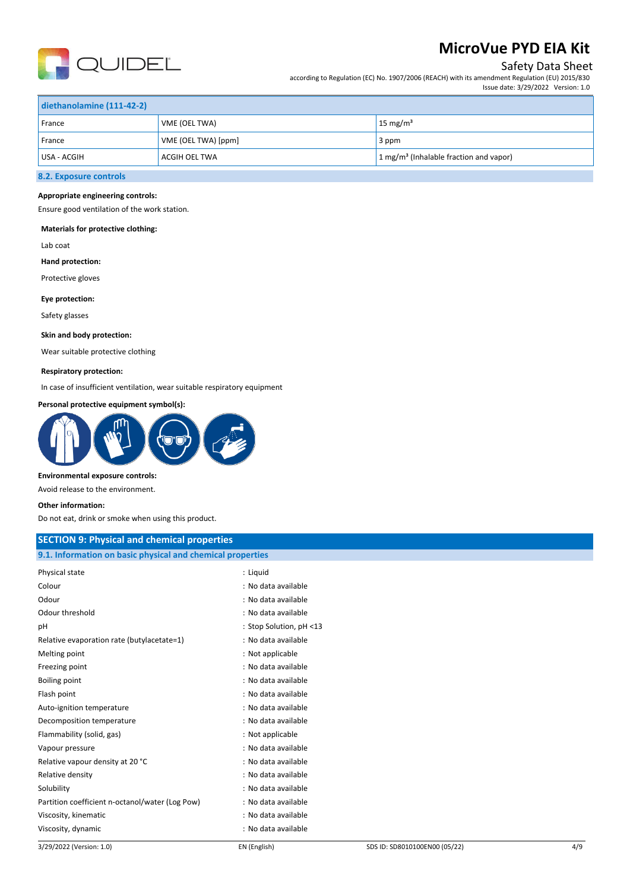

## Safety Data Sheet

according to Regulation (EC) No. 1907/2006 (REACH) with its amendment Regulation (EU) 2015/830 Issue date: 3/29/2022 Version: 1.0

| diethanolamine (111-42-2) |                      |                                                                |  |
|---------------------------|----------------------|----------------------------------------------------------------|--|
| France                    | VME (OEL TWA)        | $15 \text{ mg/m}^3$                                            |  |
| France                    | VME (OEL TWA) [ppm]  | 3 ppm                                                          |  |
| USA - ACGIH               | <b>ACGIH OEL TWA</b> | $\frac{1}{2}$ mg/m <sup>3</sup> (Inhalable fraction and vapor) |  |
|                           |                      |                                                                |  |

## **8.2. Exposure controls**

### **Appropriate engineering controls:**

Ensure good ventilation of the work station.

### **Materials for protective clothing:**

Lab coat

### **Hand protection:**

Protective gloves

#### **Eye protection:**

Safety glasses

#### **Skin and body protection:**

Wear suitable protective clothing

### **Respiratory protection:**

In case of insufficient ventilation, wear suitable respiratory equipment

### **Personal protective equipment symbol(s):**



#### **Environmental exposure controls:**

Avoid release to the environment.

#### **Other information:**

Do not eat, drink or smoke when using this product.

## **SECTION 9: Physical and chemical properties 9.1. Information on basic physical and chemical properties** Physical state : Liquid Colour : No data available Odour in the contraction of the contraction of the contraction of the contraction of the contraction of the contraction of the contraction of the contraction of the contraction of the contraction of the contraction of the Odour threshold **contained to the contained to the contained to the contained to the contained to the contained to the contained to the contained to contain the contained to contain the contained to contain the contain the** pH : Stop Solution, pH <13 Relative evaporation rate (butylacetate=1) : No data available Melting point and the state of the state of the Melting point and the Melting point of the Melting point of the Melting and the Melting and the Melting and the Melting and the Melting and the Melting and the Melting and th Freezing point **in the case of the case of the case of the case of the case of the case of the case of the case of the case of the case of the case of the case of the case of the case of the case of the case of the case of** Boiling point **in the case of the case of the case of the case of the case of the case of the case of the case of the case of the case of the case of the case of the case of the case of the case of the case of the case of** Flash point **in the case of the case of the case of the case of the case of the case of the case of the case of the case of the case of the case of the case of the case of the case of the case of the case of the case of th** Auto-ignition temperature in the state of the state of the state of the state available Decomposition temperature **interests** : No data available Flammability (solid, gas)  $\qquad \qquad$ : Not applicable Vapour pressure : No data available Relative vapour density at 20 °C is a set of the set of the set of the Relative vapour density at 20 °C Relative density in the contract of the contract of the Relative density of the Relative density of the Relation of the Relation of the Relation of the Relation of the Relation of the Relation of the Relation of the Relati Solubility : No data available : No data available Partition coefficient n-octanol/water (Log Pow) : No data available Viscosity, kinematic intervals of the state of the state of the SV scosity, kinematic intervals of the state of the SV scosic state of the SV scosic state of the SV scosic state of the SV scosic state of the SV scosic stat

Viscosity, dynamic : No data available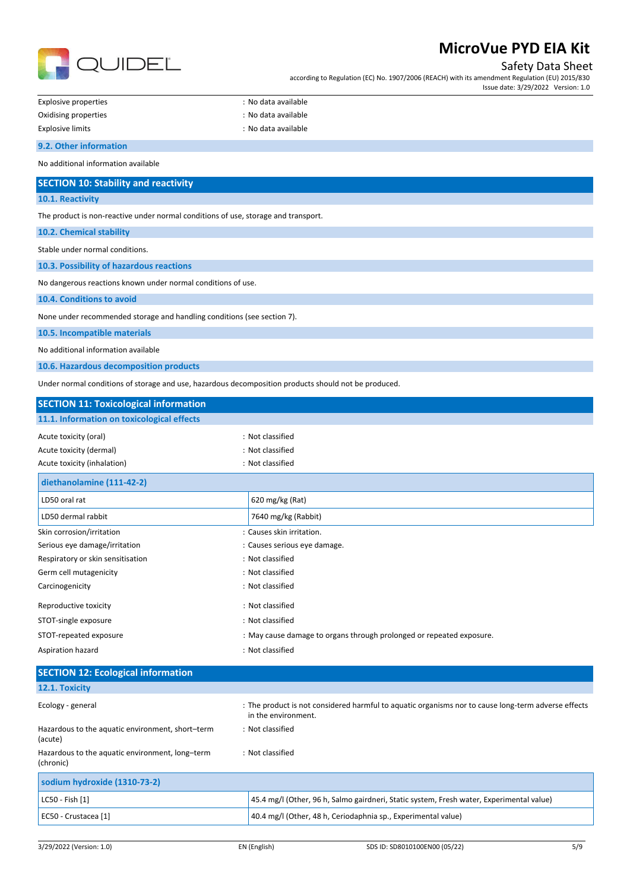

Safety Data Sheet

according to Regulation (EC) No. 1907/2006 (REACH) with its amendment Regulation (EU) 2015/830 Issue date: 3/29/2022 Version: 1.0

| -xplosive properties |
|----------------------|
| Ovidicing proportiac |

: No data available dising properties in the contract of the contract of the contract of the contract of the contract of the contract of the contract of the contract of the contract of the contract of the contract of the contract of the contr

| Explosive limits | : No data available |
|------------------|---------------------|

### **9.2. Other information**

No additional information available

# **SECTION 10: Stability and reactivity**

**10.1. Reactivity**

The product is non-reactive under normal conditions of use, storage and transport.

### **10.2. Chemical stability**

Stable under normal conditions.

**10.3. Possibility of hazardous reactions**

No dangerous reactions known under normal conditions of use.

**10.4. Conditions to avoid**

None under recommended storage and handling conditions (see section 7).

**10.5. Incompatible materials**

No additional information available

**10.6. Hazardous decomposition products**

Under normal conditions of storage and use, hazardous decomposition products should not be produced.

| <b>SECTION 11: Toxicological information</b> |                                                                      |
|----------------------------------------------|----------------------------------------------------------------------|
| 11.1. Information on toxicological effects   |                                                                      |
| Acute toxicity (oral)                        | : Not classified                                                     |
| Acute toxicity (dermal)                      | : Not classified                                                     |
| Acute toxicity (inhalation)                  | : Not classified                                                     |
| diethanolamine (111-42-2)                    |                                                                      |
| LD50 oral rat                                | 620 mg/kg (Rat)                                                      |
| LD50 dermal rabbit                           | 7640 mg/kg (Rabbit)                                                  |
| Skin corrosion/irritation                    | : Causes skin irritation.                                            |
| Serious eye damage/irritation                | : Causes serious eye damage.                                         |
| Respiratory or skin sensitisation            | : Not classified                                                     |
| Germ cell mutagenicity                       | : Not classified                                                     |
| Carcinogenicity                              | : Not classified                                                     |
| Reproductive toxicity                        | : Not classified                                                     |
| STOT-single exposure                         | : Not classified                                                     |
| STOT-repeated exposure                       | : May cause damage to organs through prolonged or repeated exposure. |
| Aspiration hazard                            | : Not classified                                                     |

| <b>SECTION 12: Ecological information</b>                    |                                                                                                                            |
|--------------------------------------------------------------|----------------------------------------------------------------------------------------------------------------------------|
| 12.1. Toxicity                                               |                                                                                                                            |
| Ecology - general                                            | : The product is not considered harmful to aquatic organisms nor to cause long-term adverse effects<br>in the environment. |
| Hazardous to the aquatic environment, short-term<br>(acute)  | : Not classified                                                                                                           |
| Hazardous to the aquatic environment, long-term<br>(chronic) | : Not classified                                                                                                           |
| sodium hydroxide (1310-73-2)                                 |                                                                                                                            |
| LC50 - Fish [1]                                              | 45.4 mg/l (Other, 96 h, Salmo gairdneri, Static system, Fresh water, Experimental value)                                   |
| EC50 - Crustacea [1]                                         | 40.4 mg/l (Other, 48 h, Ceriodaphnia sp., Experimental value)                                                              |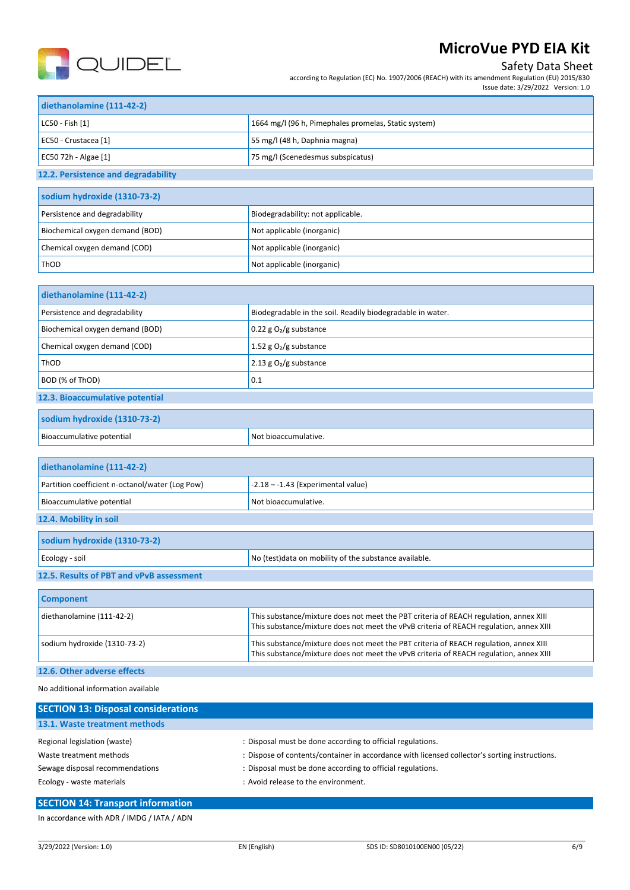

# **MicroVue PYD EIA Kit**

## Safety Data Sheet

according to Regulation (EC) No. 1907/2006 (REACH) with its amendment Regulation (EU) 2015/830

|                           | Issue date: 3/29/2022 Version: 1.0                   |  |
|---------------------------|------------------------------------------------------|--|
| diethanolamine (111-42-2) |                                                      |  |
| LC50 - Fish [1]           | 1664 mg/l (96 h, Pimephales promelas, Static system) |  |

| EC50 - Crustacea [1]                | 55 mg/l (48 h, Daphnia magna)     |
|-------------------------------------|-----------------------------------|
| EC50 72h - Algae [1]                | 75 mg/l (Scenedesmus subspicatus) |
| 12.2. Persistence and degradability |                                   |
| sodium hydroxide (1310-73-2)        |                                   |
| Persistence and degradability       | Biodegradability: not applicable. |
| Biochemical oxygen demand (BOD)     | Not applicable (inorganic)        |
| Chemical oxygen demand (COD)        | Not applicable (inorganic)        |

| diethanolamine (111-42-2)        |                                                            |
|----------------------------------|------------------------------------------------------------|
| Persistence and degradability    | Biodegradable in the soil. Readily biodegradable in water. |
| Biochemical oxygen demand (BOD)  | 0.22 g $O_2/g$ substance                                   |
| Chemical oxygen demand (COD)     | 1.52 g $O2/g$ substance                                    |
| 2.13 g $O_2/g$ substance<br>ThOD |                                                            |
| BOD (% of ThOD)                  | 0.1                                                        |
| 12.3. Bioaccumulative potential  |                                                            |

## **sodium hydroxide (1310-73-2)**

ThOD **Not applicable (inorganic)** Not applicable (inorganic)

| Ri∩.<br>NI∩<br>'ive<br>ntentia. |  |
|---------------------------------|--|
|                                 |  |

| diethanolamine (111-42-2)                       |                                                                                                                                                                                 |
|-------------------------------------------------|---------------------------------------------------------------------------------------------------------------------------------------------------------------------------------|
| Partition coefficient n-octanol/water (Log Pow) | $-2.18 - -1.43$ (Experimental value)                                                                                                                                            |
| Bioaccumulative potential                       | Not bioaccumulative.                                                                                                                                                            |
| 12.4. Mobility in soil                          |                                                                                                                                                                                 |
| sodium hydroxide (1310-73-2)                    |                                                                                                                                                                                 |
| Ecology - soil                                  | No (test) data on mobility of the substance available.                                                                                                                          |
| 12.5. Results of PBT and vPvB assessment        |                                                                                                                                                                                 |
| <b>Component</b>                                |                                                                                                                                                                                 |
| diethanolamine (111-42-2)                       | This substance/mixture does not meet the PBT criteria of REACH regulation, annex XIII<br>This substance/mixture does not meet the vPvB criteria of REACH regulation, annex XIII |
| sodium hydroxide (1310-73-2)                    | This substance/mixture does not meet the PBT criteria of REACH regulation, annex XIII<br>This substance/mixture does not meet the vPvB criteria of REACH regulation, annex XIII |

## **12.6. Other adverse effects**

No additional information available

| <b>SECTION 13: Disposal considerations</b> |                                                                                               |
|--------------------------------------------|-----------------------------------------------------------------------------------------------|
| 13.1. Waste treatment methods              |                                                                                               |
| Regional legislation (waste)               | : Disposal must be done according to official regulations.                                    |
| Waste treatment methods                    | : Dispose of contents/container in accordance with licensed collector's sorting instructions. |
| Sewage disposal recommendations            | : Disposal must be done according to official regulations.                                    |
| Ecology - waste materials                  | : Avoid release to the environment.                                                           |

## **SECTION 14: Transport information**

In accordance with ADR / IMDG / IATA / ADN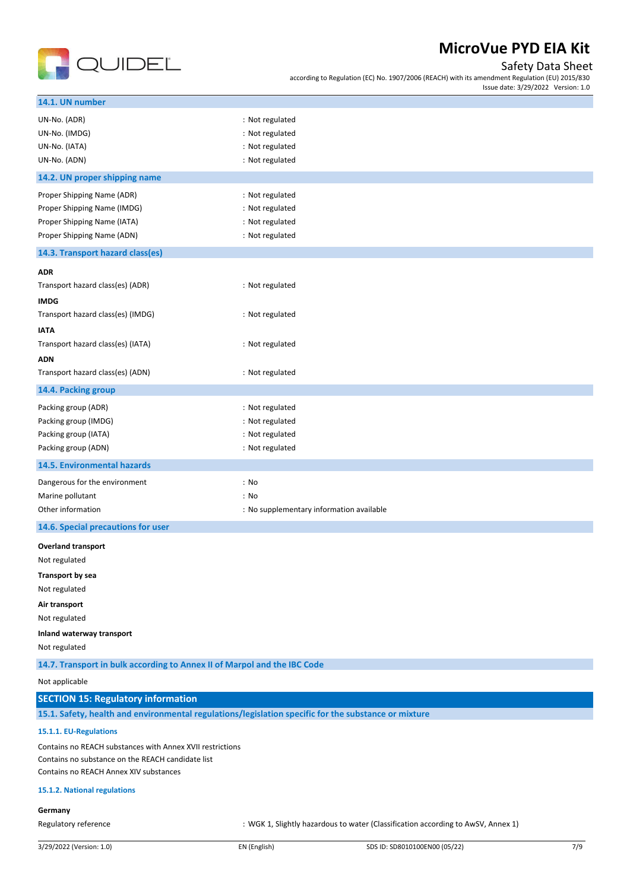

## Safety Data Sheet

according to Regulation (EC) No. 1907/2006 (REACH) with its amendment Regulation (EU) 2015/830 Issue date: 3/29/2022 Version: 1.0

| UN-No. (ADR)<br>: Not regulated<br>UN-No. (IMDG)<br>: Not regulated<br>: Not regulated<br>UN-No. (IATA)<br>UN-No. (ADN)<br>: Not regulated<br>14.2. UN proper shipping name<br>Proper Shipping Name (ADR)<br>: Not regulated<br>Proper Shipping Name (IMDG)<br>: Not regulated<br>Proper Shipping Name (IATA)<br>: Not regulated<br>Proper Shipping Name (ADN)<br>: Not regulated<br>14.3. Transport hazard class(es)<br><b>ADR</b><br>: Not regulated<br>Transport hazard class(es) (ADR)<br><b>IMDG</b><br>Transport hazard class(es) (IMDG)<br>: Not regulated<br><b>IATA</b><br>Transport hazard class(es) (IATA)<br>: Not regulated<br><b>ADN</b><br>Transport hazard class(es) (ADN)<br>: Not regulated<br>14.4. Packing group<br>Packing group (ADR)<br>: Not regulated<br>Packing group (IMDG)<br>: Not regulated<br>: Not regulated<br>Packing group (IATA)<br>Packing group (ADN)<br>: Not regulated<br>14.5. Environmental hazards<br>Dangerous for the environment<br>: No<br>Marine pollutant<br>: No<br>Other information<br>: No supplementary information available<br>14.6. Special precautions for user<br><b>Overland transport</b><br>Not regulated<br>Transport by sea<br>Not regulated<br>Air transport<br>Not regulated<br>Inland waterway transport<br>Not regulated<br>14.7. Transport in bulk according to Annex II of Marpol and the IBC Code<br>Not applicable<br>15.1. Safety, health and environmental regulations/legislation specific for the substance or mixture<br>15.1.1. EU-Regulations<br>Contains no REACH substances with Annex XVII restrictions<br>Contains no substance on the REACH candidate list<br>Contains no REACH Annex XIV substances<br>15.1.2. National regulations | <b>SECTION 15: Regulatory information</b><br>Germany<br>Regulatory reference<br>: WGK 1, Slightly hazardous to water (Classification according to AwSV, Annex 1) | 14.1. UN number |  |
|--------------------------------------------------------------------------------------------------------------------------------------------------------------------------------------------------------------------------------------------------------------------------------------------------------------------------------------------------------------------------------------------------------------------------------------------------------------------------------------------------------------------------------------------------------------------------------------------------------------------------------------------------------------------------------------------------------------------------------------------------------------------------------------------------------------------------------------------------------------------------------------------------------------------------------------------------------------------------------------------------------------------------------------------------------------------------------------------------------------------------------------------------------------------------------------------------------------------------------------------------------------------------------------------------------------------------------------------------------------------------------------------------------------------------------------------------------------------------------------------------------------------------------------------------------------------------------------------------------------------------------------------------------------------------------------------------------------------------|------------------------------------------------------------------------------------------------------------------------------------------------------------------|-----------------|--|
|                                                                                                                                                                                                                                                                                                                                                                                                                                                                                                                                                                                                                                                                                                                                                                                                                                                                                                                                                                                                                                                                                                                                                                                                                                                                                                                                                                                                                                                                                                                                                                                                                                                                                                                          |                                                                                                                                                                  |                 |  |
|                                                                                                                                                                                                                                                                                                                                                                                                                                                                                                                                                                                                                                                                                                                                                                                                                                                                                                                                                                                                                                                                                                                                                                                                                                                                                                                                                                                                                                                                                                                                                                                                                                                                                                                          |                                                                                                                                                                  |                 |  |
|                                                                                                                                                                                                                                                                                                                                                                                                                                                                                                                                                                                                                                                                                                                                                                                                                                                                                                                                                                                                                                                                                                                                                                                                                                                                                                                                                                                                                                                                                                                                                                                                                                                                                                                          |                                                                                                                                                                  |                 |  |
|                                                                                                                                                                                                                                                                                                                                                                                                                                                                                                                                                                                                                                                                                                                                                                                                                                                                                                                                                                                                                                                                                                                                                                                                                                                                                                                                                                                                                                                                                                                                                                                                                                                                                                                          |                                                                                                                                                                  |                 |  |
|                                                                                                                                                                                                                                                                                                                                                                                                                                                                                                                                                                                                                                                                                                                                                                                                                                                                                                                                                                                                                                                                                                                                                                                                                                                                                                                                                                                                                                                                                                                                                                                                                                                                                                                          |                                                                                                                                                                  |                 |  |
|                                                                                                                                                                                                                                                                                                                                                                                                                                                                                                                                                                                                                                                                                                                                                                                                                                                                                                                                                                                                                                                                                                                                                                                                                                                                                                                                                                                                                                                                                                                                                                                                                                                                                                                          |                                                                                                                                                                  |                 |  |
|                                                                                                                                                                                                                                                                                                                                                                                                                                                                                                                                                                                                                                                                                                                                                                                                                                                                                                                                                                                                                                                                                                                                                                                                                                                                                                                                                                                                                                                                                                                                                                                                                                                                                                                          |                                                                                                                                                                  |                 |  |
|                                                                                                                                                                                                                                                                                                                                                                                                                                                                                                                                                                                                                                                                                                                                                                                                                                                                                                                                                                                                                                                                                                                                                                                                                                                                                                                                                                                                                                                                                                                                                                                                                                                                                                                          |                                                                                                                                                                  |                 |  |
|                                                                                                                                                                                                                                                                                                                                                                                                                                                                                                                                                                                                                                                                                                                                                                                                                                                                                                                                                                                                                                                                                                                                                                                                                                                                                                                                                                                                                                                                                                                                                                                                                                                                                                                          |                                                                                                                                                                  |                 |  |
|                                                                                                                                                                                                                                                                                                                                                                                                                                                                                                                                                                                                                                                                                                                                                                                                                                                                                                                                                                                                                                                                                                                                                                                                                                                                                                                                                                                                                                                                                                                                                                                                                                                                                                                          |                                                                                                                                                                  |                 |  |
|                                                                                                                                                                                                                                                                                                                                                                                                                                                                                                                                                                                                                                                                                                                                                                                                                                                                                                                                                                                                                                                                                                                                                                                                                                                                                                                                                                                                                                                                                                                                                                                                                                                                                                                          |                                                                                                                                                                  |                 |  |
|                                                                                                                                                                                                                                                                                                                                                                                                                                                                                                                                                                                                                                                                                                                                                                                                                                                                                                                                                                                                                                                                                                                                                                                                                                                                                                                                                                                                                                                                                                                                                                                                                                                                                                                          |                                                                                                                                                                  |                 |  |
|                                                                                                                                                                                                                                                                                                                                                                                                                                                                                                                                                                                                                                                                                                                                                                                                                                                                                                                                                                                                                                                                                                                                                                                                                                                                                                                                                                                                                                                                                                                                                                                                                                                                                                                          |                                                                                                                                                                  |                 |  |
|                                                                                                                                                                                                                                                                                                                                                                                                                                                                                                                                                                                                                                                                                                                                                                                                                                                                                                                                                                                                                                                                                                                                                                                                                                                                                                                                                                                                                                                                                                                                                                                                                                                                                                                          |                                                                                                                                                                  |                 |  |
|                                                                                                                                                                                                                                                                                                                                                                                                                                                                                                                                                                                                                                                                                                                                                                                                                                                                                                                                                                                                                                                                                                                                                                                                                                                                                                                                                                                                                                                                                                                                                                                                                                                                                                                          |                                                                                                                                                                  |                 |  |
|                                                                                                                                                                                                                                                                                                                                                                                                                                                                                                                                                                                                                                                                                                                                                                                                                                                                                                                                                                                                                                                                                                                                                                                                                                                                                                                                                                                                                                                                                                                                                                                                                                                                                                                          |                                                                                                                                                                  |                 |  |
|                                                                                                                                                                                                                                                                                                                                                                                                                                                                                                                                                                                                                                                                                                                                                                                                                                                                                                                                                                                                                                                                                                                                                                                                                                                                                                                                                                                                                                                                                                                                                                                                                                                                                                                          |                                                                                                                                                                  |                 |  |
|                                                                                                                                                                                                                                                                                                                                                                                                                                                                                                                                                                                                                                                                                                                                                                                                                                                                                                                                                                                                                                                                                                                                                                                                                                                                                                                                                                                                                                                                                                                                                                                                                                                                                                                          |                                                                                                                                                                  |                 |  |
|                                                                                                                                                                                                                                                                                                                                                                                                                                                                                                                                                                                                                                                                                                                                                                                                                                                                                                                                                                                                                                                                                                                                                                                                                                                                                                                                                                                                                                                                                                                                                                                                                                                                                                                          |                                                                                                                                                                  |                 |  |
|                                                                                                                                                                                                                                                                                                                                                                                                                                                                                                                                                                                                                                                                                                                                                                                                                                                                                                                                                                                                                                                                                                                                                                                                                                                                                                                                                                                                                                                                                                                                                                                                                                                                                                                          |                                                                                                                                                                  |                 |  |
|                                                                                                                                                                                                                                                                                                                                                                                                                                                                                                                                                                                                                                                                                                                                                                                                                                                                                                                                                                                                                                                                                                                                                                                                                                                                                                                                                                                                                                                                                                                                                                                                                                                                                                                          |                                                                                                                                                                  |                 |  |
|                                                                                                                                                                                                                                                                                                                                                                                                                                                                                                                                                                                                                                                                                                                                                                                                                                                                                                                                                                                                                                                                                                                                                                                                                                                                                                                                                                                                                                                                                                                                                                                                                                                                                                                          |                                                                                                                                                                  |                 |  |
|                                                                                                                                                                                                                                                                                                                                                                                                                                                                                                                                                                                                                                                                                                                                                                                                                                                                                                                                                                                                                                                                                                                                                                                                                                                                                                                                                                                                                                                                                                                                                                                                                                                                                                                          |                                                                                                                                                                  |                 |  |
|                                                                                                                                                                                                                                                                                                                                                                                                                                                                                                                                                                                                                                                                                                                                                                                                                                                                                                                                                                                                                                                                                                                                                                                                                                                                                                                                                                                                                                                                                                                                                                                                                                                                                                                          |                                                                                                                                                                  |                 |  |
|                                                                                                                                                                                                                                                                                                                                                                                                                                                                                                                                                                                                                                                                                                                                                                                                                                                                                                                                                                                                                                                                                                                                                                                                                                                                                                                                                                                                                                                                                                                                                                                                                                                                                                                          |                                                                                                                                                                  |                 |  |
|                                                                                                                                                                                                                                                                                                                                                                                                                                                                                                                                                                                                                                                                                                                                                                                                                                                                                                                                                                                                                                                                                                                                                                                                                                                                                                                                                                                                                                                                                                                                                                                                                                                                                                                          |                                                                                                                                                                  |                 |  |
|                                                                                                                                                                                                                                                                                                                                                                                                                                                                                                                                                                                                                                                                                                                                                                                                                                                                                                                                                                                                                                                                                                                                                                                                                                                                                                                                                                                                                                                                                                                                                                                                                                                                                                                          |                                                                                                                                                                  |                 |  |
|                                                                                                                                                                                                                                                                                                                                                                                                                                                                                                                                                                                                                                                                                                                                                                                                                                                                                                                                                                                                                                                                                                                                                                                                                                                                                                                                                                                                                                                                                                                                                                                                                                                                                                                          |                                                                                                                                                                  |                 |  |
|                                                                                                                                                                                                                                                                                                                                                                                                                                                                                                                                                                                                                                                                                                                                                                                                                                                                                                                                                                                                                                                                                                                                                                                                                                                                                                                                                                                                                                                                                                                                                                                                                                                                                                                          |                                                                                                                                                                  |                 |  |
|                                                                                                                                                                                                                                                                                                                                                                                                                                                                                                                                                                                                                                                                                                                                                                                                                                                                                                                                                                                                                                                                                                                                                                                                                                                                                                                                                                                                                                                                                                                                                                                                                                                                                                                          |                                                                                                                                                                  |                 |  |
|                                                                                                                                                                                                                                                                                                                                                                                                                                                                                                                                                                                                                                                                                                                                                                                                                                                                                                                                                                                                                                                                                                                                                                                                                                                                                                                                                                                                                                                                                                                                                                                                                                                                                                                          |                                                                                                                                                                  |                 |  |
|                                                                                                                                                                                                                                                                                                                                                                                                                                                                                                                                                                                                                                                                                                                                                                                                                                                                                                                                                                                                                                                                                                                                                                                                                                                                                                                                                                                                                                                                                                                                                                                                                                                                                                                          |                                                                                                                                                                  |                 |  |
|                                                                                                                                                                                                                                                                                                                                                                                                                                                                                                                                                                                                                                                                                                                                                                                                                                                                                                                                                                                                                                                                                                                                                                                                                                                                                                                                                                                                                                                                                                                                                                                                                                                                                                                          |                                                                                                                                                                  |                 |  |
|                                                                                                                                                                                                                                                                                                                                                                                                                                                                                                                                                                                                                                                                                                                                                                                                                                                                                                                                                                                                                                                                                                                                                                                                                                                                                                                                                                                                                                                                                                                                                                                                                                                                                                                          |                                                                                                                                                                  |                 |  |
|                                                                                                                                                                                                                                                                                                                                                                                                                                                                                                                                                                                                                                                                                                                                                                                                                                                                                                                                                                                                                                                                                                                                                                                                                                                                                                                                                                                                                                                                                                                                                                                                                                                                                                                          |                                                                                                                                                                  |                 |  |
|                                                                                                                                                                                                                                                                                                                                                                                                                                                                                                                                                                                                                                                                                                                                                                                                                                                                                                                                                                                                                                                                                                                                                                                                                                                                                                                                                                                                                                                                                                                                                                                                                                                                                                                          |                                                                                                                                                                  |                 |  |
|                                                                                                                                                                                                                                                                                                                                                                                                                                                                                                                                                                                                                                                                                                                                                                                                                                                                                                                                                                                                                                                                                                                                                                                                                                                                                                                                                                                                                                                                                                                                                                                                                                                                                                                          |                                                                                                                                                                  |                 |  |
|                                                                                                                                                                                                                                                                                                                                                                                                                                                                                                                                                                                                                                                                                                                                                                                                                                                                                                                                                                                                                                                                                                                                                                                                                                                                                                                                                                                                                                                                                                                                                                                                                                                                                                                          |                                                                                                                                                                  |                 |  |
|                                                                                                                                                                                                                                                                                                                                                                                                                                                                                                                                                                                                                                                                                                                                                                                                                                                                                                                                                                                                                                                                                                                                                                                                                                                                                                                                                                                                                                                                                                                                                                                                                                                                                                                          |                                                                                                                                                                  |                 |  |
|                                                                                                                                                                                                                                                                                                                                                                                                                                                                                                                                                                                                                                                                                                                                                                                                                                                                                                                                                                                                                                                                                                                                                                                                                                                                                                                                                                                                                                                                                                                                                                                                                                                                                                                          |                                                                                                                                                                  |                 |  |
|                                                                                                                                                                                                                                                                                                                                                                                                                                                                                                                                                                                                                                                                                                                                                                                                                                                                                                                                                                                                                                                                                                                                                                                                                                                                                                                                                                                                                                                                                                                                                                                                                                                                                                                          |                                                                                                                                                                  |                 |  |
|                                                                                                                                                                                                                                                                                                                                                                                                                                                                                                                                                                                                                                                                                                                                                                                                                                                                                                                                                                                                                                                                                                                                                                                                                                                                                                                                                                                                                                                                                                                                                                                                                                                                                                                          |                                                                                                                                                                  |                 |  |
|                                                                                                                                                                                                                                                                                                                                                                                                                                                                                                                                                                                                                                                                                                                                                                                                                                                                                                                                                                                                                                                                                                                                                                                                                                                                                                                                                                                                                                                                                                                                                                                                                                                                                                                          |                                                                                                                                                                  |                 |  |
|                                                                                                                                                                                                                                                                                                                                                                                                                                                                                                                                                                                                                                                                                                                                                                                                                                                                                                                                                                                                                                                                                                                                                                                                                                                                                                                                                                                                                                                                                                                                                                                                                                                                                                                          |                                                                                                                                                                  |                 |  |
|                                                                                                                                                                                                                                                                                                                                                                                                                                                                                                                                                                                                                                                                                                                                                                                                                                                                                                                                                                                                                                                                                                                                                                                                                                                                                                                                                                                                                                                                                                                                                                                                                                                                                                                          |                                                                                                                                                                  |                 |  |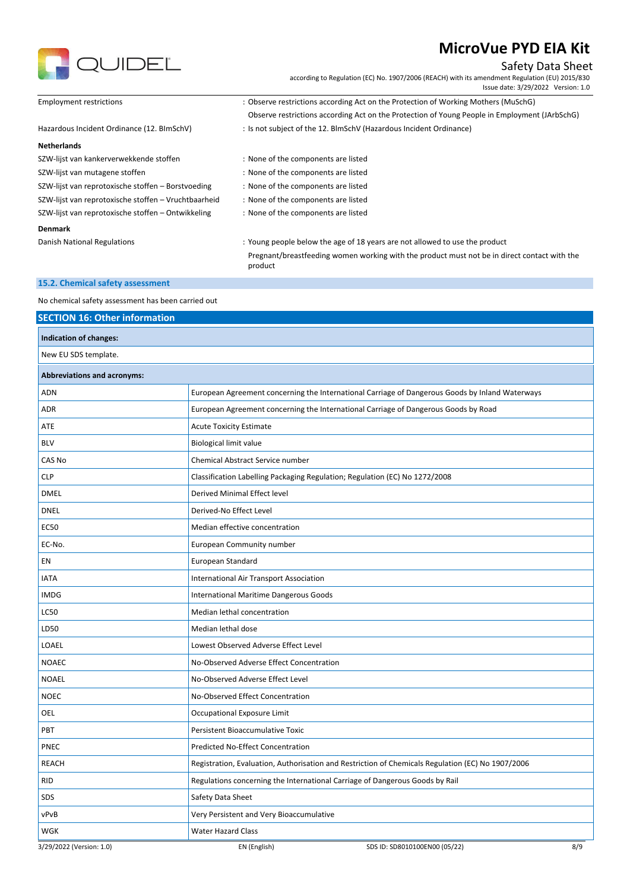

Safety Data Sheet

according to Regulation (EC) No. 1907/2006 (REACH) with its amendment Regulation (EU) 2015/830 Issue date: 3/29/2022 Version: 1.0

| <b>Employment restrictions</b>                       | : Observe restrictions according Act on the Protection of Working Mothers (MuSchG)                      |
|------------------------------------------------------|---------------------------------------------------------------------------------------------------------|
|                                                      | Observe restrictions according Act on the Protection of Young People in Employment (JArbSchG)           |
| Hazardous Incident Ordinance (12. BImSchV)           | : Is not subject of the 12. BlmSchV (Hazardous Incident Ordinance)                                      |
| <b>Netherlands</b>                                   |                                                                                                         |
| SZW-lijst van kankerverwekkende stoffen              | : None of the components are listed                                                                     |
| SZW-lijst van mutagene stoffen                       | : None of the components are listed                                                                     |
| SZW-lijst van reprotoxische stoffen – Borstvoeding   | : None of the components are listed                                                                     |
| SZW-lijst van reprotoxische stoffen – Vruchtbaarheid | : None of the components are listed                                                                     |
| SZW-lijst van reprotoxische stoffen – Ontwikkeling   | : None of the components are listed                                                                     |
| <b>Denmark</b>                                       |                                                                                                         |
| Danish National Regulations                          | : Young people below the age of 18 years are not allowed to use the product                             |
|                                                      | Pregnant/breastfeeding women working with the product must not be in direct contact with the<br>product |
| 15.2. Chemical safety assessment                     |                                                                                                         |

No chemical safety assessment has been carried out

| <b>SECTION 16: Other information</b> |                                                                                                   |
|--------------------------------------|---------------------------------------------------------------------------------------------------|
| Indication of changes:               |                                                                                                   |
| New EU SDS template.                 |                                                                                                   |
| <b>Abbreviations and acronyms:</b>   |                                                                                                   |
| <b>ADN</b>                           | European Agreement concerning the International Carriage of Dangerous Goods by Inland Waterways   |
| <b>ADR</b>                           | European Agreement concerning the International Carriage of Dangerous Goods by Road               |
| ATE                                  | <b>Acute Toxicity Estimate</b>                                                                    |
| <b>BLV</b>                           | <b>Biological limit value</b>                                                                     |
| CAS No                               | Chemical Abstract Service number                                                                  |
| <b>CLP</b>                           | Classification Labelling Packaging Regulation; Regulation (EC) No 1272/2008                       |
| <b>DMEL</b>                          | Derived Minimal Effect level                                                                      |
| <b>DNEL</b>                          | Derived-No Effect Level                                                                           |
| <b>EC50</b>                          | Median effective concentration                                                                    |
| EC-No.                               | European Community number                                                                         |
| EN                                   | European Standard                                                                                 |
| <b>IATA</b>                          | International Air Transport Association                                                           |
| <b>IMDG</b>                          | International Maritime Dangerous Goods                                                            |
| <b>LC50</b>                          | Median lethal concentration                                                                       |
| LD50                                 | Median lethal dose                                                                                |
| LOAEL                                | Lowest Observed Adverse Effect Level                                                              |
| <b>NOAEC</b>                         | No-Observed Adverse Effect Concentration                                                          |
| <b>NOAEL</b>                         | No-Observed Adverse Effect Level                                                                  |
| <b>NOEC</b>                          | No-Observed Effect Concentration                                                                  |
| OEL                                  | Occupational Exposure Limit                                                                       |
| PBT                                  | Persistent Bioaccumulative Toxic                                                                  |
| PNEC                                 | Predicted No-Effect Concentration                                                                 |
| <b>REACH</b>                         | Registration, Evaluation, Authorisation and Restriction of Chemicals Regulation (EC) No 1907/2006 |
| <b>RID</b>                           | Regulations concerning the International Carriage of Dangerous Goods by Rail                      |
| SDS                                  | Safety Data Sheet                                                                                 |
| vPvB                                 | Very Persistent and Very Bioaccumulative                                                          |
| WGK                                  | <b>Water Hazard Class</b>                                                                         |